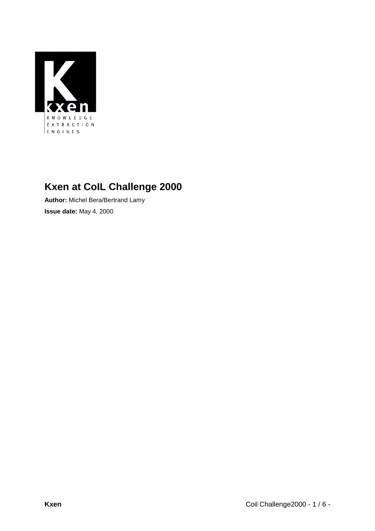

# **Kxen at CoIL Challenge 2000**

**Author:** Michel Bera/Bertrand Lamy **Issue date:** May 4, 2000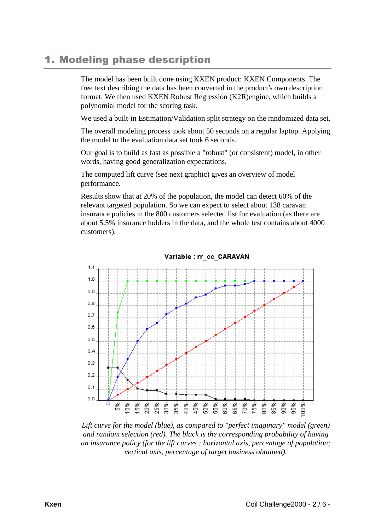## 1. Modeling phase description

The model has been built done using KXEN product: KXEN Components. The free text describing the data has been converted in the product's own description format. We then used KXEN Robust Regression (K2R)engine, which builds a polynomial model for the scoring task.

We used a built-in Estimation/Validation split strategy on the randomized data set.

The overall modeling process took about 50 seconds on a regular laptop. Applying the model to the evaluation data set took 6 seconds.

Our goal is to build as fast as possible a "robust" (or consistent) model, in other words, having good generalization expectations.

The computed lift curve (see next graphic) gives an overview of model performance.

Results show that at 20% of the population, the model can detect 60% of the relevant targeted population. So we can expect to select about 138 caravan insurance policies in the 800 customers selected list for evaluation (as there are about 5.5% insurance holders in the data, and the whole test contains about 4000 customers).



Variable : rr cc CARAVAN

*Lift curve for the model (blue), as compared to "perfect imaginary" model (green) and random selection (red). The black is the corresponding probability of having an insurance policy (for the lift curves : horizontal axis, percentage of population; vertical axis, percentage of target business obtained).*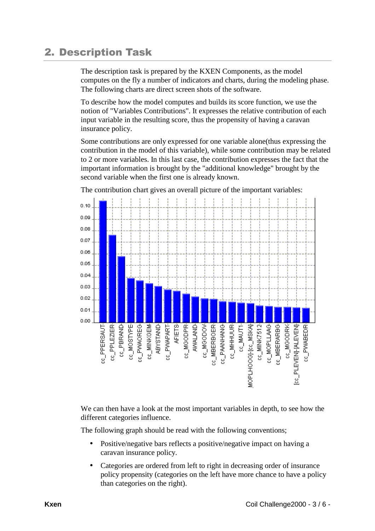## **2. Description Task**

The description task is prepared by the KXEN Components, as the model computes on the fly a number of indicators and charts, during the modeling phase. The following charts are direct screen shots of the software.

To describe how the model computes and builds its score function, we use the notion of "Variables Contributions". It expresses the relative contribution of each input variable in the resulting score, thus the propensity of having a caravan insurance policy.

Some contributions are only expressed for one variable alone(thus expressing the contribution in the model of this variable), while some contribution may be related to 2 or more variables. In this last case, the contribution expresses the fact that the important information is brought by the "additional knowledge" brought by the second variable when the first one is already known.



The contribution chart gives an overall picture of the important variables:

We can then have a look at the most important variables in depth, to see how the different categories influence.

The following graph should be read with the following conventions;

- Positive/negative bars reflects a positive/negative impact on having a caravan insurance policy.
- Categories are ordered from left to right in decreasing order of insurance policy propensity (categories on the left have more chance to have a policy than categories on the right).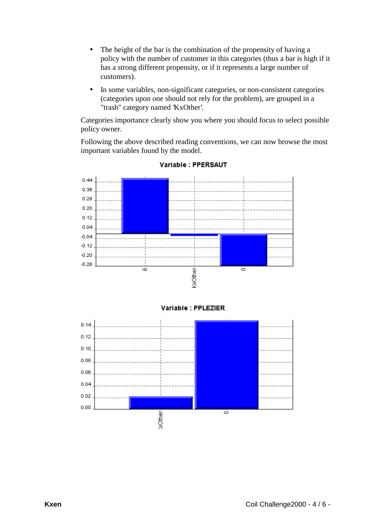- The height of the bar is the combination of the propensity of having a policy with the number of customer in this categories (thus a bar is high if it has a strong different propensity, or if it represents a large number of customers).
- In some variables, non-significant categories, or non-consistent categories (categories upon one should not rely for the problem), are grouped in a "trash" category named 'KxOther'.

Categories importance clearly show you where you should focus to select possible policy owner.

Following the above described reading conventions, we can now browse the most important variables found by the model.





Variable : PPLEZIER

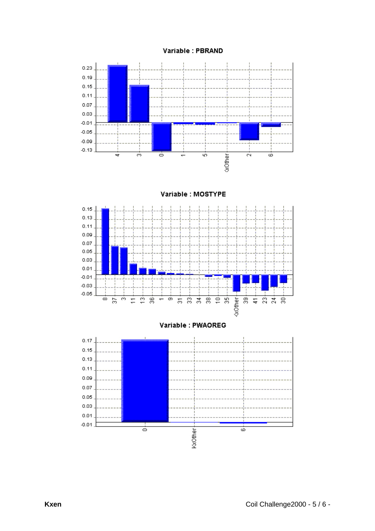



Variable : MOSTYPE



#### Variable : PWAOREG